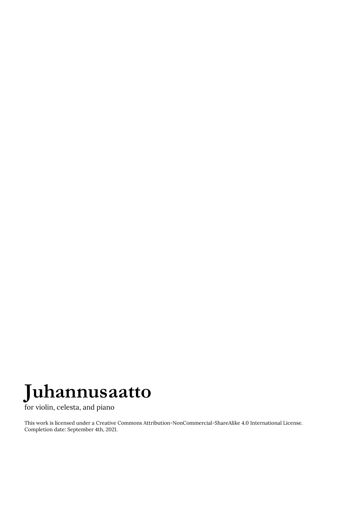## **Juhannusaatto**  for violin, celesta, and piano

This work is licensed under a Creative Commons Attribution-NonCommercial-ShareAlike 4.0 International License. Completion date: September 4th, 2021.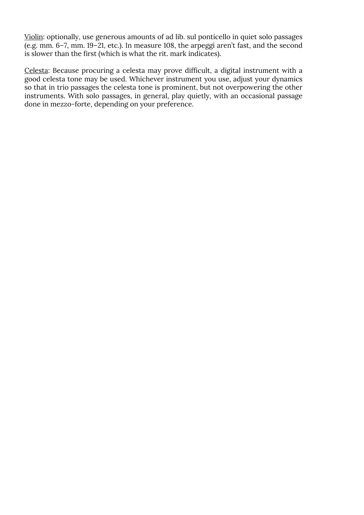Violin: optionally, use generous amounts of ad lib. sul ponticello in quiet solo passages (e.g. mm. 6–7, mm. 19–21, etc.). In measure 108, the arpeggi aren't fast, and the second is slower than the first (which is what the rit. mark indicates).

Celesta: Because procuring a celesta may prove difficult, a digital instrument with a good celesta tone may be used. Whichever instrument you use, adjust your dynamics so that in trio passages the celesta tone is prominent, but not overpowering the other instruments. With solo passages, in general, play quietly, with an occasional passage done in mezzo-forte, depending on your preference.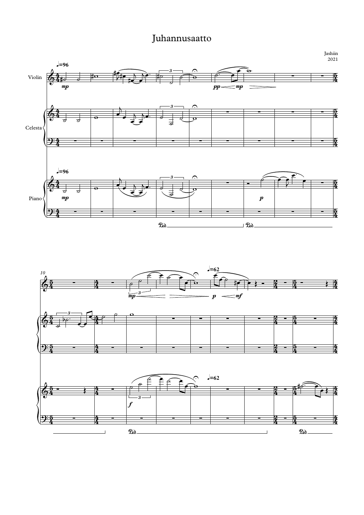



## Juhannusaatto

Jashiin

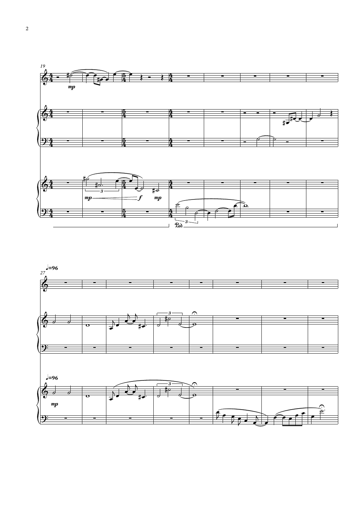

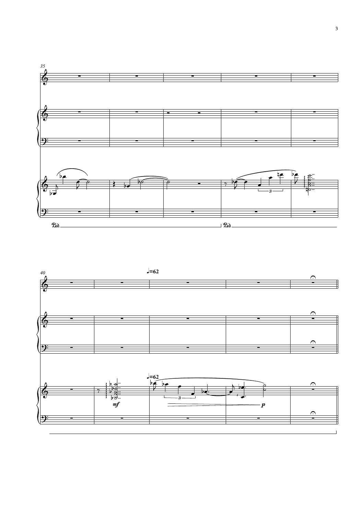



|            | <b>V</b>       |    |  |
|------------|----------------|----|--|
| KØ         |                | ,, |  |
|            | ۰. د           |    |  |
|            | りつ・・           |    |  |
|            | m <sub>l</sub> |    |  |
|            |                |    |  |
| $\sqrt{ }$ |                |    |  |
|            |                |    |  |
|            |                |    |  |
|            |                |    |  |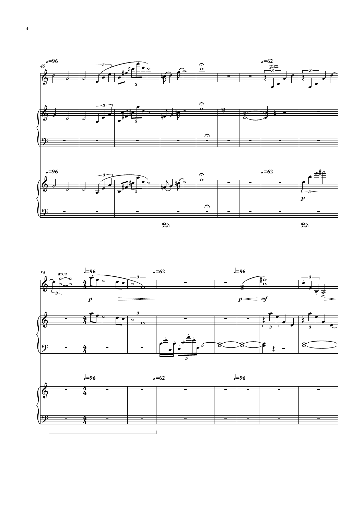



| <b>IKG</b> |  |  |  |  |
|------------|--|--|--|--|
|            |  |  |  |  |
|            |  |  |  |  |
|            |  |  |  |  |
|            |  |  |  |  |
| $\sim$     |  |  |  |  |
|            |  |  |  |  |
|            |  |  |  |  |
|            |  |  |  |  |
|            |  |  |  |  |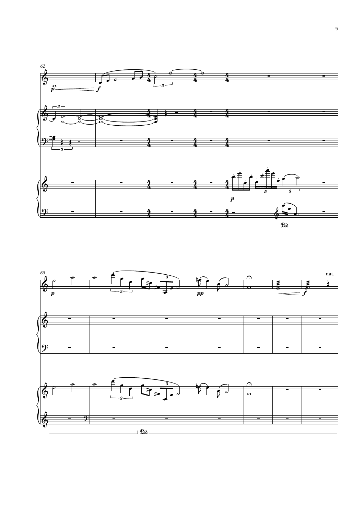



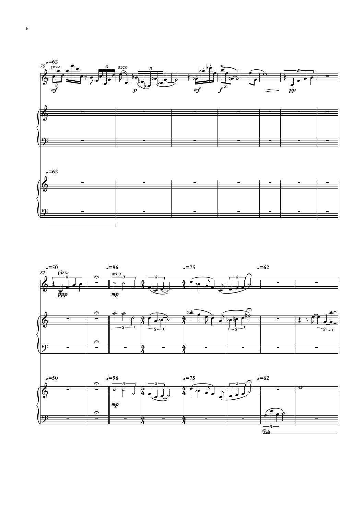

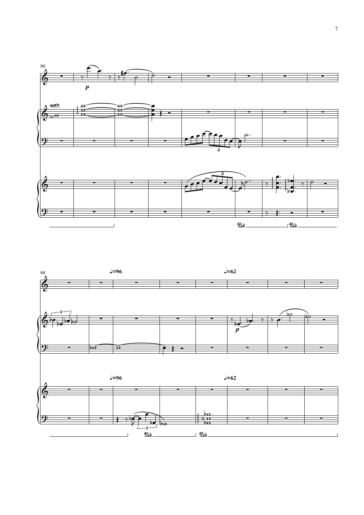